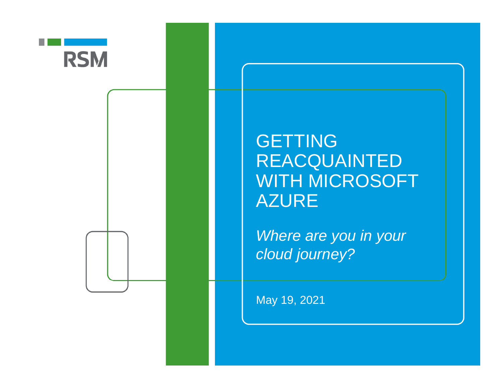

#### GETTING REACQUAINTED WITH MICROSOFT AZURE

*Where are you in your cloud journey?*

May 19, 2021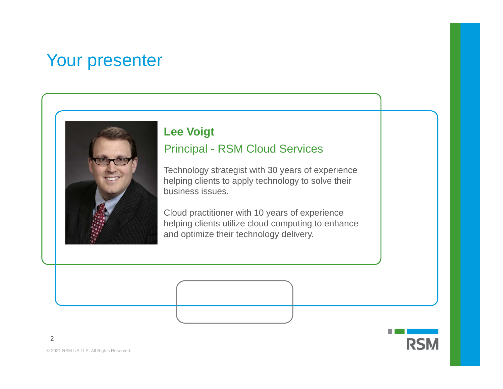#### Your presenter

#### **Lee Voigt**

#### Principal - RSM Cloud Services

Technology strategist with 30 years of experience helping clients to apply technology to solve their business issues.

Cloud practitioner with 10 years of experience helping clients utilize cloud computing to enhance and optimize their technology delivery.

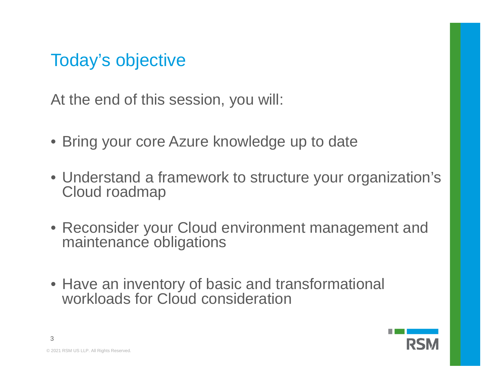### Today's objective

At the end of this session, you will:

- Bring your core Azure knowledge up to date
- Understand a framework to structure your organization's Cloud roadmap
- Reconsider your Cloud environment management and maintenance obligations
- Have an inventory of basic and transformational workloads for Cloud consideration

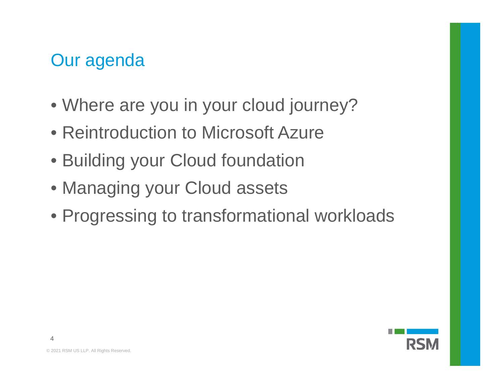#### Our agenda

- Where are you in your cloud journey?
- Reintroduction to Microsoft Azure
- Building your Cloud foundation
- Managing your Cloud assets
- Progressing to transformational workloads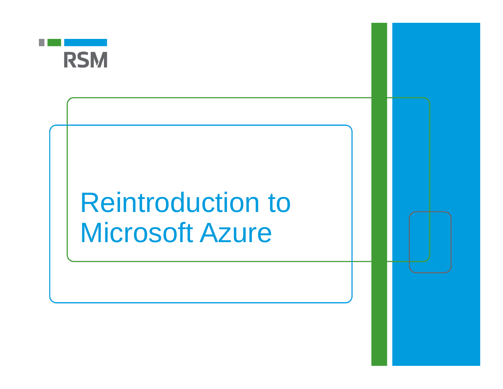

# Reintroduction to Microsoft Azure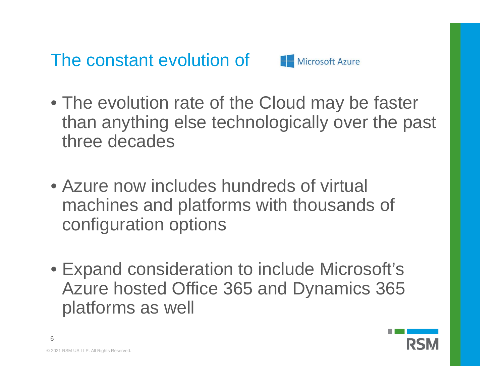The constant evolution of



- The evolution rate of the Cloud may be faster than anything else technologically over the past three decades
- Azure now includes hundreds of virtual machines and platforms with thousands of configuration options
- Expand consideration to include Microsoft's Azure hosted Office 365 and Dynamics 365 platforms as well

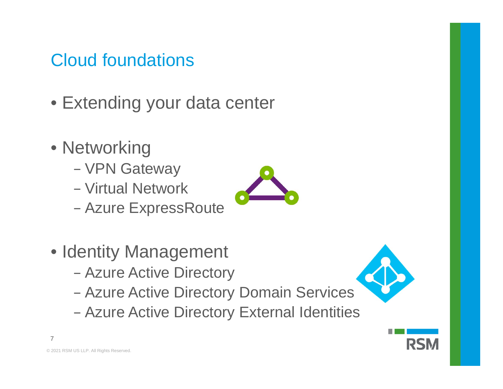#### Cloud foundations

- Extending your data center
- Networking
	- VPN Gateway
	- − Virtual Network
	- −Azure ExpressRoute
- Identity Management
	- −Azure Active Directory
	- Azure Active Directory Domain Services
	- Azure Active Directory External Identities



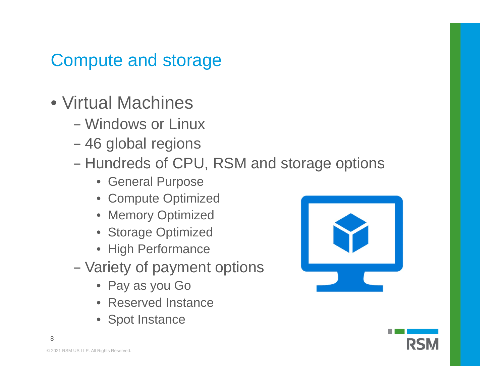#### Compute and storage

- Virtual Machines
	- − Windows or Linux
	- 46 global regions
	- −- Hundreds of CPU, RSM and storage options
		- General Purpose
		- Compute Optimized
		- Memory Optimized
		- Storage Optimized
		- High Performance
	- Variety of payment options
		- Pay as you Go
		- Reserved Instance
		- Spot Instance



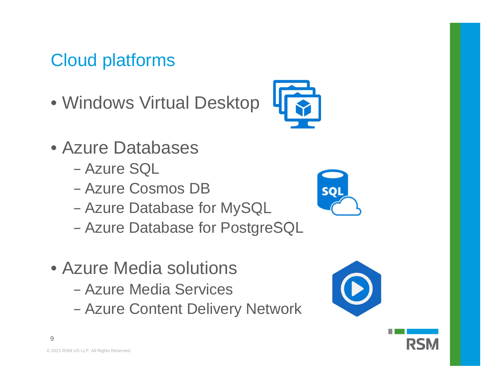#### Cloud platforms

- Windows Virtual Desktop
- Azure Databases
	- − Azure SQL
	- − Azure Cosmos DB
	- −Azure Database for MySQL
	- Azure Database for PostgreSQL
- Azure Media solutions
	- − Azure Media Services
	- Azure Content Delivery Network





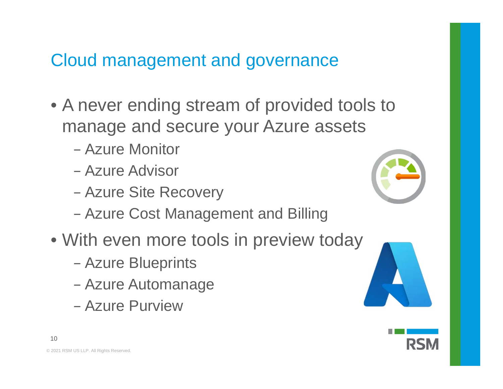#### Cloud management and governance

- A never ending stream of provided tools to manage and secure your Azure assets
	- − Azure Monitor
	- − Azure Advisor
	- Azure Site Recovery
	- Azure Cost Management and Billing
- With even more tools in preview today
	- −Azure Blueprints
	- −Azure Automanage
	- − Azure Purview



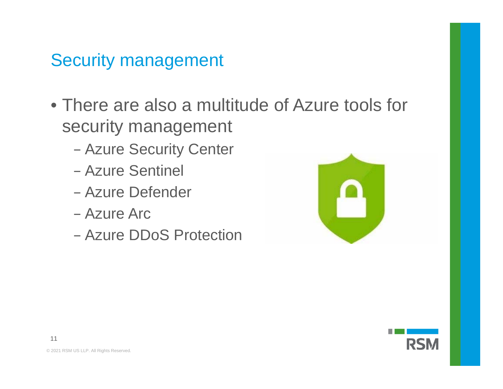#### Security management

- There are also a multitude of Azure tools for security management
	- Azure Security Center
	- − Azure Sentinel
	- − Azure Defender
	- − Azure Arc
	- − Azure DDoS Protection



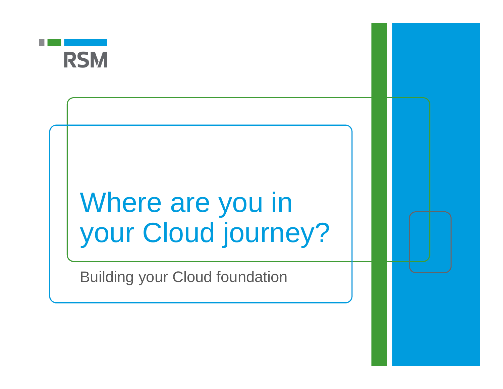

# Where are you in your Cloud journey?

Building your Cloud foundation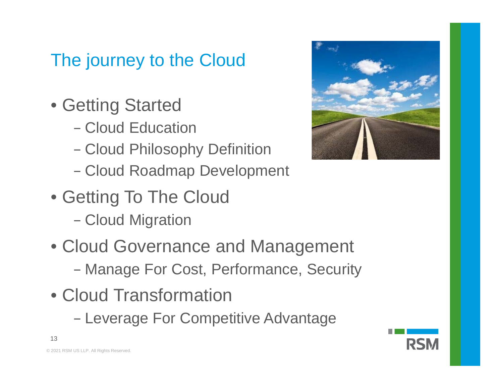### The journey to the Cloud

- Getting Started
	- − Cloud Education
	- −Cloud Philosophy Definition
	- −Cloud Roadmap Development
- Getting To The Cloud
	- **Cloud Migration**
- Cloud Governance and Management Manage For Cost, Performance, Security
- Cloud Transformation
	- Leverage For Competitive Advantage



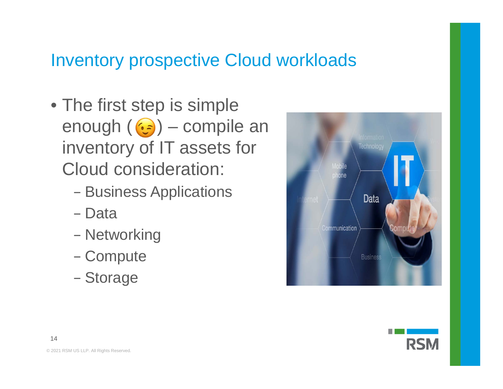#### Inventory prospective Cloud workloads

- The first step is simple enough  $(G)$  – compile an inventory of IT assets for Cloud consideration:
	- Business Applications
	- − Data
	- Networking
	- Compute
	- Storage





14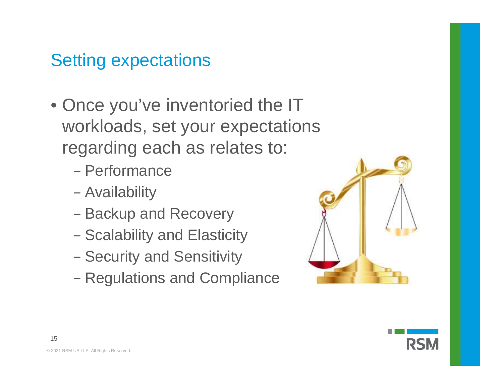#### Setting expectations

- Once you've inventoried the IT workloads, set your expectations regarding each as relates to:
	- − Performance
	- Availability
	- Backup and Recovery
	- Scalability and Elasticity
	- Security and Sensitivity
	- Regulations and Compliance



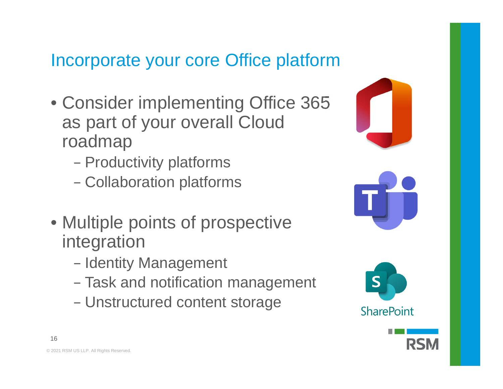#### Incorporate your core Office platform

- Consider implementing Office 365 as part of your overall Cloud roadmap
	- −- Productivity platforms
	- Collaboration platforms
- Multiple points of prospective integration
	- Identity Management
	- Task and notification management
	- Unstructured content storage







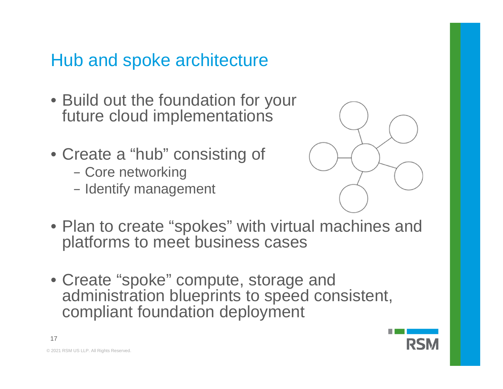#### Hub and spoke architecture

- Build out the foundation for your future cloud implementations
- Create a "hub" consisting of
	- Core networking
	- Identify management



- Plan to create "spokes" with virtual machines and platforms to meet business cases
- Create "spoke" compute, storage and administration blueprints to speed consistent, compliant foundation deployment



© 2021 RSM US LLP. All Rights Reserved.

17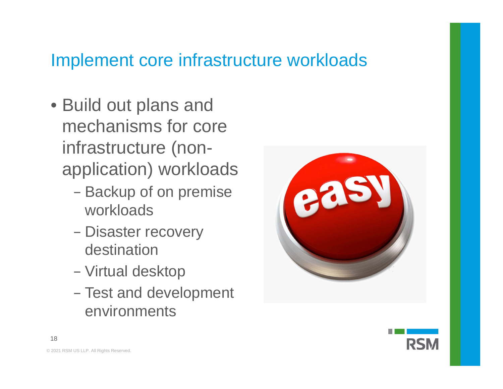#### Implement core infrastructure workloads

- Build out plans and mechanisms for core infrastructure (nonapplication) workloads
	- Backup of on premise workloads
	- Disaster recovery destination
	- Virtual desktop
	- Test and development environments



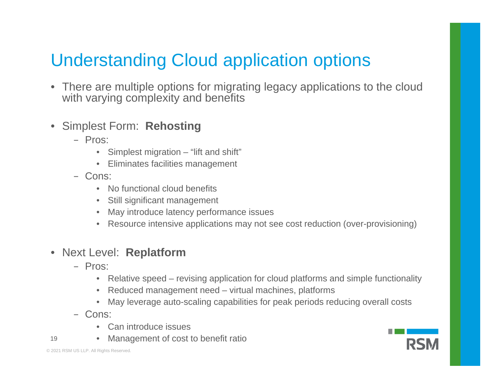### Understanding Cloud application options

- There are multiple options for migrating legacy applications to the cloud with varying complexity and benefits
- $\bullet$  Simplest Form: **Rehosting**
	- − Pros:
		- •Simplest migration – "lift and shift"
		- Eliminates facilities management
	- − Cons:
		- •No functional cloud benefits
		- •Still significant management
		- $\bullet$ May introduce latency performance issues
		- Resource intensive applications may not see cost reduction (over-provisioning)

#### • Next Level: **Replatform**

- − Pros:
	- Relative speed revising application for cloud platforms and simple functionality
	- •Reduced management need – virtual machines, platforms
	- $\bullet$ May leverage auto-scaling capabilities for peak periods reducing overall costs
- − Cons:
	- Can introduce issues
- 19 •Management of cost to benefit ratio

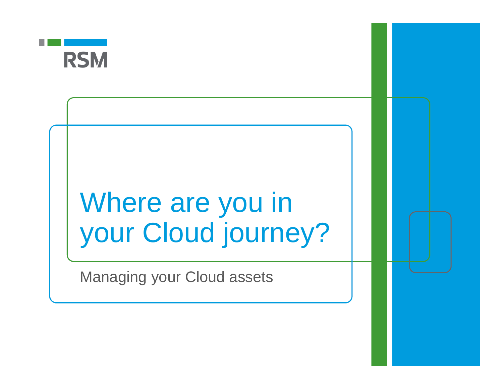

# Where are you in your Cloud journey?

Managing your Cloud assets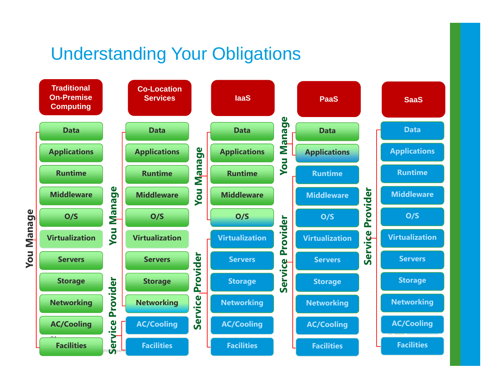#### Understanding Your Obligations

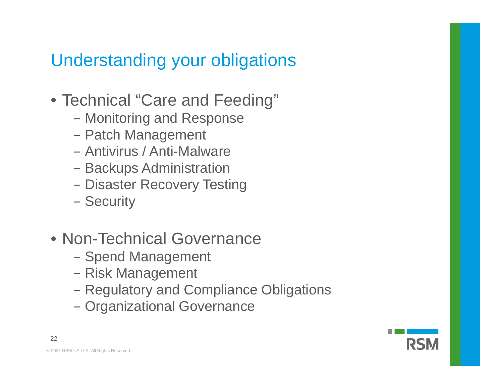#### Understanding your obligations

- Technical "Care and Feeding"
	- Monitoring and Response
	- Patch Management
	- − Antivirus / Anti-Malware
	- Backups Administration
	- Disaster Recovery Testing
	- Security
- Non-Technical Governance
	- Spend Management
	- Risk Management
	- Regulatory and Compliance Obligations
	- Organizational Governance



22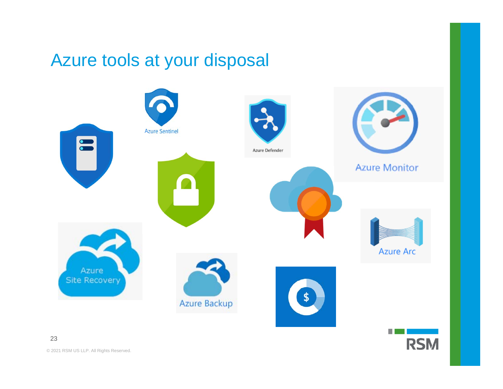#### Azure tools at your disposal



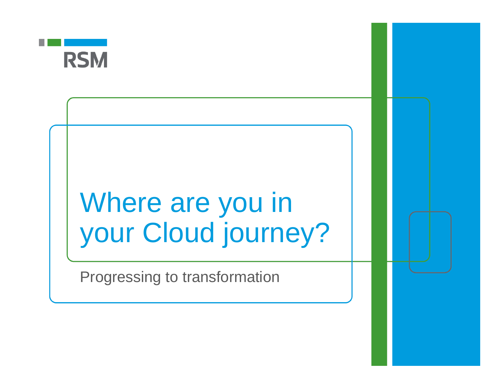

# Where are you in your Cloud journey?

Progressing to transformation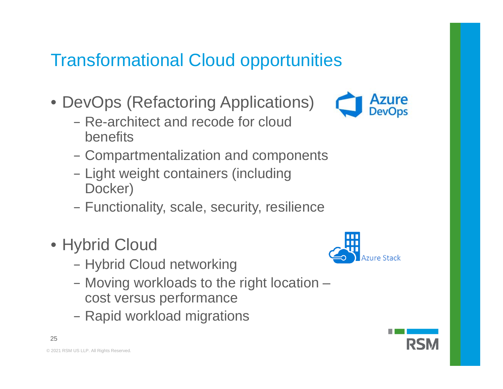### Transformational Cloud opportunities

- DevOps (Refactoring Applications)
	- − Re-architect and recode for cloud benefits
	- Compartmentalization and components
	- Light weight containers (including Docker)
	- Functionality, scale, security, resilience
- Hybrid Cloud
	- Hybrid Cloud networking
	- Moving workloads to the right location cost versus performance
	- Rapid workload migrations





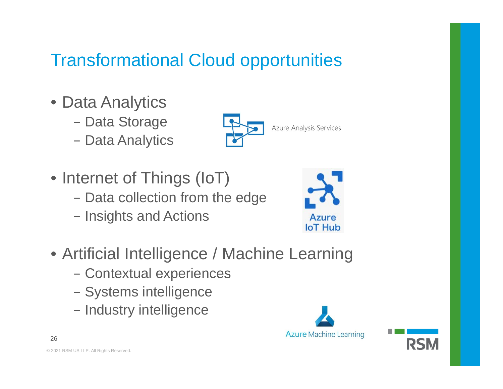### Transformational Cloud opportunities

- Data Analytics
	- Data Storage
	- Data Analytics



- Internet of Things (IoT)
	- Data collection from the edge
	- Insights and Actions



- Artificial Intelligence / Machine Learning
	- Contextual experiences
	- Systems intelligence
	- Industry intelligence



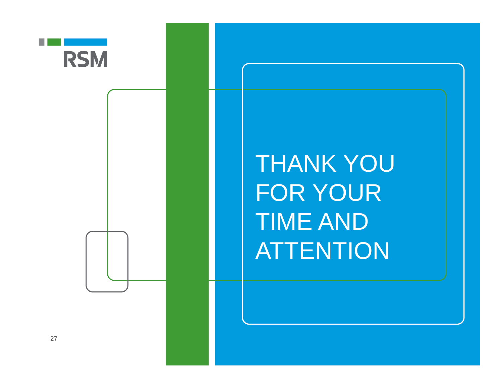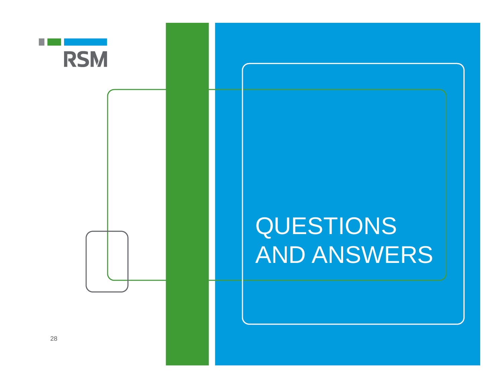